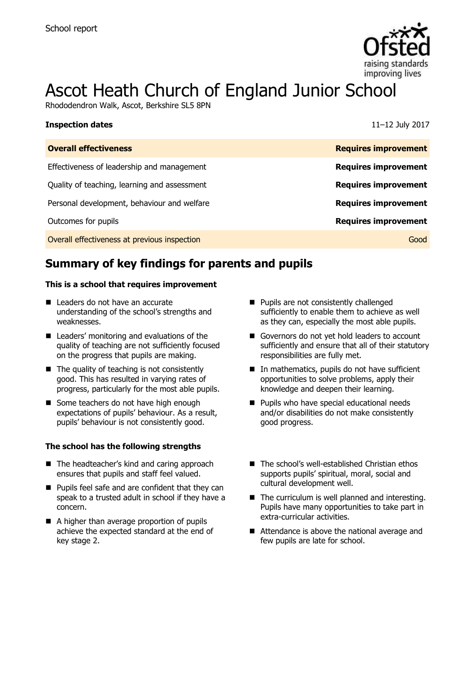

# Ascot Heath Church of England Junior School

Rhododendron Walk, Ascot, Berkshire SL5 8PN

| <b>Inspection dates</b>                      | 11-12 July 2017             |
|----------------------------------------------|-----------------------------|
| <b>Overall effectiveness</b>                 | <b>Requires improvement</b> |
| Effectiveness of leadership and management   | <b>Requires improvement</b> |
| Quality of teaching, learning and assessment | <b>Requires improvement</b> |
| Personal development, behaviour and welfare  | <b>Requires improvement</b> |
| Outcomes for pupils                          | <b>Requires improvement</b> |
| Overall effectiveness at previous inspection | Good                        |

# **Summary of key findings for parents and pupils**

### **This is a school that requires improvement**

- Leaders do not have an accurate understanding of the school's strengths and weaknesses.
- Leaders' monitoring and evaluations of the quality of teaching are not sufficiently focused on the progress that pupils are making.
- $\blacksquare$  The quality of teaching is not consistently good. This has resulted in varying rates of progress, particularly for the most able pupils.
- Some teachers do not have high enough expectations of pupils' behaviour. As a result, pupils' behaviour is not consistently good.

### **The school has the following strengths**

- The headteacher's kind and caring approach ensures that pupils and staff feel valued.
- **Pupils feel safe and are confident that they can** speak to a trusted adult in school if they have a concern.
- A higher than average proportion of pupils achieve the expected standard at the end of key stage 2.
- **Pupils are not consistently challenged** sufficiently to enable them to achieve as well as they can, especially the most able pupils.
- Governors do not yet hold leaders to account sufficiently and ensure that all of their statutory responsibilities are fully met.
- In mathematics, pupils do not have sufficient opportunities to solve problems, apply their knowledge and deepen their learning.
- **Pupils who have special educational needs** and/or disabilities do not make consistently good progress.
- The school's well-established Christian ethos supports pupils' spiritual, moral, social and cultural development well.
- $\blacksquare$  The curriculum is well planned and interesting. Pupils have many opportunities to take part in extra-curricular activities.
- Attendance is above the national average and few pupils are late for school.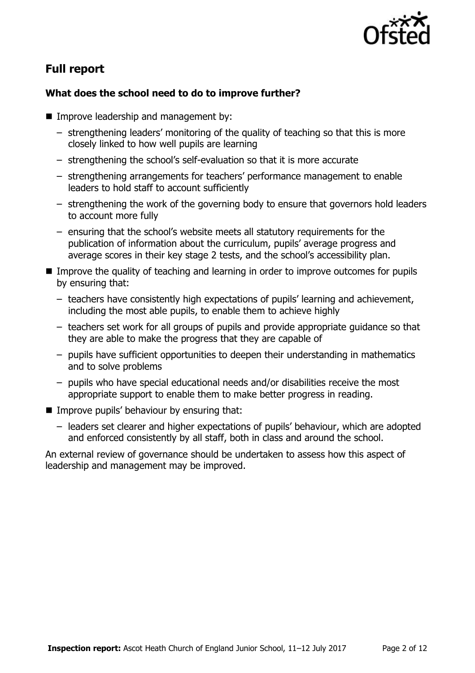

# **Full report**

### **What does the school need to do to improve further?**

- **Improve leadership and management by:** 
	- strengthening leaders' monitoring of the quality of teaching so that this is more closely linked to how well pupils are learning
	- strengthening the school's self-evaluation so that it is more accurate
	- strengthening arrangements for teachers' performance management to enable leaders to hold staff to account sufficiently
	- strengthening the work of the governing body to ensure that governors hold leaders to account more fully
	- ensuring that the school's website meets all statutory requirements for the publication of information about the curriculum, pupils' average progress and average scores in their key stage 2 tests, and the school's accessibility plan.
- Improve the quality of teaching and learning in order to improve outcomes for pupils by ensuring that:
	- teachers have consistently high expectations of pupils' learning and achievement, including the most able pupils, to enable them to achieve highly
	- teachers set work for all groups of pupils and provide appropriate guidance so that they are able to make the progress that they are capable of
	- pupils have sufficient opportunities to deepen their understanding in mathematics and to solve problems
	- pupils who have special educational needs and/or disabilities receive the most appropriate support to enable them to make better progress in reading.
- **IMPROVE pupils' behaviour by ensuring that:** 
	- leaders set clearer and higher expectations of pupils' behaviour, which are adopted and enforced consistently by all staff, both in class and around the school.

An external review of governance should be undertaken to assess how this aspect of leadership and management may be improved.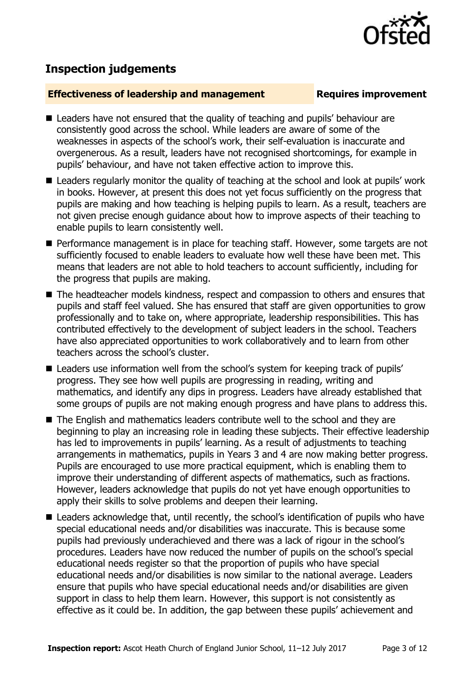## **Inspection judgements**

### **Effectiveness of leadership and management Requires improvement**

- Leaders have not ensured that the quality of teaching and pupils' behaviour are consistently good across the school. While leaders are aware of some of the weaknesses in aspects of the school's work, their self-evaluation is inaccurate and overgenerous. As a result, leaders have not recognised shortcomings, for example in pupils' behaviour, and have not taken effective action to improve this.
- Leaders regularly monitor the quality of teaching at the school and look at pupils' work in books. However, at present this does not yet focus sufficiently on the progress that pupils are making and how teaching is helping pupils to learn. As a result, teachers are not given precise enough guidance about how to improve aspects of their teaching to enable pupils to learn consistently well.
- **Performance management is in place for teaching staff. However, some targets are not** sufficiently focused to enable leaders to evaluate how well these have been met. This means that leaders are not able to hold teachers to account sufficiently, including for the progress that pupils are making.
- The headteacher models kindness, respect and compassion to others and ensures that pupils and staff feel valued. She has ensured that staff are given opportunities to grow professionally and to take on, where appropriate, leadership responsibilities. This has contributed effectively to the development of subject leaders in the school. Teachers have also appreciated opportunities to work collaboratively and to learn from other teachers across the school's cluster.
- Leaders use information well from the school's system for keeping track of pupils' progress. They see how well pupils are progressing in reading, writing and mathematics, and identify any dips in progress. Leaders have already established that some groups of pupils are not making enough progress and have plans to address this.
- The English and mathematics leaders contribute well to the school and they are beginning to play an increasing role in leading these subjects. Their effective leadership has led to improvements in pupils' learning. As a result of adjustments to teaching arrangements in mathematics, pupils in Years 3 and 4 are now making better progress. Pupils are encouraged to use more practical equipment, which is enabling them to improve their understanding of different aspects of mathematics, such as fractions. However, leaders acknowledge that pupils do not yet have enough opportunities to apply their skills to solve problems and deepen their learning.
- Leaders acknowledge that, until recently, the school's identification of pupils who have special educational needs and/or disabilities was inaccurate. This is because some pupils had previously underachieved and there was a lack of rigour in the school's procedures. Leaders have now reduced the number of pupils on the school's special educational needs register so that the proportion of pupils who have special educational needs and/or disabilities is now similar to the national average. Leaders ensure that pupils who have special educational needs and/or disabilities are given support in class to help them learn. However, this support is not consistently as effective as it could be. In addition, the gap between these pupils' achievement and

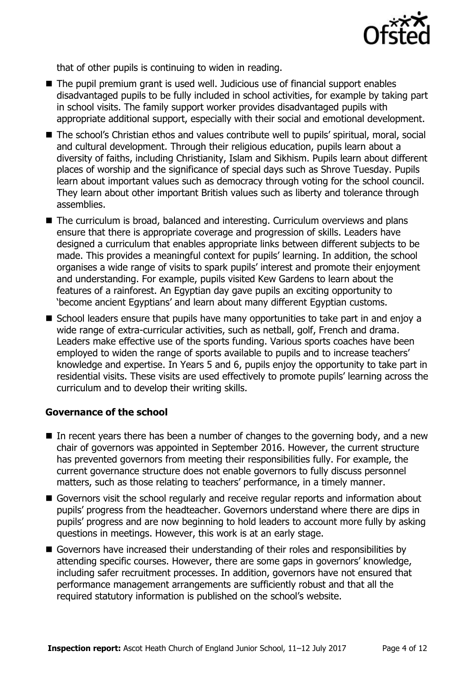

that of other pupils is continuing to widen in reading.

- The pupil premium grant is used well. Judicious use of financial support enables disadvantaged pupils to be fully included in school activities, for example by taking part in school visits. The family support worker provides disadvantaged pupils with appropriate additional support, especially with their social and emotional development.
- The school's Christian ethos and values contribute well to pupils' spiritual, moral, social and cultural development. Through their religious education, pupils learn about a diversity of faiths, including Christianity, Islam and Sikhism. Pupils learn about different places of worship and the significance of special days such as Shrove Tuesday. Pupils learn about important values such as democracy through voting for the school council. They learn about other important British values such as liberty and tolerance through assemblies.
- The curriculum is broad, balanced and interesting. Curriculum overviews and plans ensure that there is appropriate coverage and progression of skills. Leaders have designed a curriculum that enables appropriate links between different subjects to be made. This provides a meaningful context for pupils' learning. In addition, the school organises a wide range of visits to spark pupils' interest and promote their enjoyment and understanding. For example, pupils visited Kew Gardens to learn about the features of a rainforest. An Egyptian day gave pupils an exciting opportunity to 'become ancient Egyptians' and learn about many different Egyptian customs.
- School leaders ensure that pupils have many opportunities to take part in and enjoy a wide range of extra-curricular activities, such as netball, golf, French and drama. Leaders make effective use of the sports funding. Various sports coaches have been employed to widen the range of sports available to pupils and to increase teachers' knowledge and expertise. In Years 5 and 6, pupils enjoy the opportunity to take part in residential visits. These visits are used effectively to promote pupils' learning across the curriculum and to develop their writing skills.

### **Governance of the school**

- In recent years there has been a number of changes to the governing body, and a new chair of governors was appointed in September 2016. However, the current structure has prevented governors from meeting their responsibilities fully. For example, the current governance structure does not enable governors to fully discuss personnel matters, such as those relating to teachers' performance, in a timely manner.
- Governors visit the school regularly and receive regular reports and information about pupils' progress from the headteacher. Governors understand where there are dips in pupils' progress and are now beginning to hold leaders to account more fully by asking questions in meetings. However, this work is at an early stage.
- Governors have increased their understanding of their roles and responsibilities by attending specific courses. However, there are some gaps in governors' knowledge, including safer recruitment processes. In addition, governors have not ensured that performance management arrangements are sufficiently robust and that all the required statutory information is published on the school's website.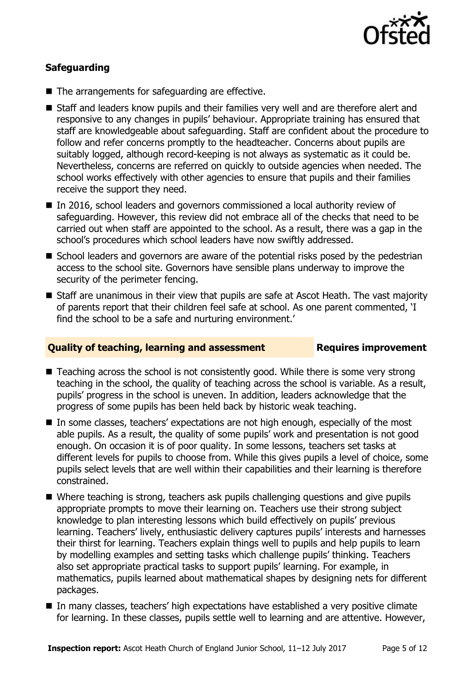

### **Safeguarding**

- The arrangements for safeguarding are effective.
- Staff and leaders know pupils and their families very well and are therefore alert and responsive to any changes in pupils' behaviour. Appropriate training has ensured that staff are knowledgeable about safeguarding. Staff are confident about the procedure to follow and refer concerns promptly to the headteacher. Concerns about pupils are suitably logged, although record-keeping is not always as systematic as it could be. Nevertheless, concerns are referred on quickly to outside agencies when needed. The school works effectively with other agencies to ensure that pupils and their families receive the support they need.
- In 2016, school leaders and governors commissioned a local authority review of safeguarding. However, this review did not embrace all of the checks that need to be carried out when staff are appointed to the school. As a result, there was a gap in the school's procedures which school leaders have now swiftly addressed.
- School leaders and governors are aware of the potential risks posed by the pedestrian access to the school site. Governors have sensible plans underway to improve the security of the perimeter fencing.
- Staff are unanimous in their view that pupils are safe at Ascot Heath. The vast majority of parents report that their children feel safe at school. As one parent commented, 'I find the school to be a safe and nurturing environment.'

### **Quality of teaching, learning and assessment Requires improvement**

- Teaching across the school is not consistently good. While there is some very strong teaching in the school, the quality of teaching across the school is variable. As a result, pupils' progress in the school is uneven. In addition, leaders acknowledge that the progress of some pupils has been held back by historic weak teaching.
- In some classes, teachers' expectations are not high enough, especially of the most able pupils. As a result, the quality of some pupils' work and presentation is not good enough. On occasion it is of poor quality. In some lessons, teachers set tasks at different levels for pupils to choose from. While this gives pupils a level of choice, some pupils select levels that are well within their capabilities and their learning is therefore constrained.
- Where teaching is strong, teachers ask pupils challenging questions and give pupils appropriate prompts to move their learning on. Teachers use their strong subject knowledge to plan interesting lessons which build effectively on pupils' previous learning. Teachers' lively, enthusiastic delivery captures pupils' interests and harnesses their thirst for learning. Teachers explain things well to pupils and help pupils to learn by modelling examples and setting tasks which challenge pupils' thinking. Teachers also set appropriate practical tasks to support pupils' learning. For example, in mathematics, pupils learned about mathematical shapes by designing nets for different packages.
- In many classes, teachers' high expectations have established a very positive climate for learning. In these classes, pupils settle well to learning and are attentive. However,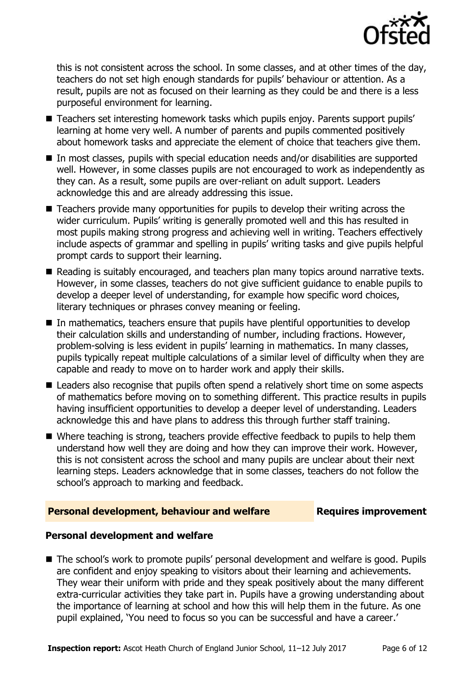

this is not consistent across the school. In some classes, and at other times of the day, teachers do not set high enough standards for pupils' behaviour or attention. As a result, pupils are not as focused on their learning as they could be and there is a less purposeful environment for learning.

- Teachers set interesting homework tasks which pupils enjoy. Parents support pupils' learning at home very well. A number of parents and pupils commented positively about homework tasks and appreciate the element of choice that teachers give them.
- In most classes, pupils with special education needs and/or disabilities are supported well. However, in some classes pupils are not encouraged to work as independently as they can. As a result, some pupils are over-reliant on adult support. Leaders acknowledge this and are already addressing this issue.
- Teachers provide many opportunities for pupils to develop their writing across the wider curriculum. Pupils' writing is generally promoted well and this has resulted in most pupils making strong progress and achieving well in writing. Teachers effectively include aspects of grammar and spelling in pupils' writing tasks and give pupils helpful prompt cards to support their learning.
- Reading is suitably encouraged, and teachers plan many topics around narrative texts. However, in some classes, teachers do not give sufficient guidance to enable pupils to develop a deeper level of understanding, for example how specific word choices, literary techniques or phrases convey meaning or feeling.
- In mathematics, teachers ensure that pupils have plentiful opportunities to develop their calculation skills and understanding of number, including fractions. However, problem-solving is less evident in pupils' learning in mathematics. In many classes, pupils typically repeat multiple calculations of a similar level of difficulty when they are capable and ready to move on to harder work and apply their skills.
- Leaders also recognise that pupils often spend a relatively short time on some aspects of mathematics before moving on to something different. This practice results in pupils having insufficient opportunities to develop a deeper level of understanding. Leaders acknowledge this and have plans to address this through further staff training.
- Where teaching is strong, teachers provide effective feedback to pupils to help them understand how well they are doing and how they can improve their work. However, this is not consistent across the school and many pupils are unclear about their next learning steps. Leaders acknowledge that in some classes, teachers do not follow the school's approach to marking and feedback.

### **Personal development, behaviour and welfare Fig. 2.1 Requires improvement**

### **Personal development and welfare**

■ The school's work to promote pupils' personal development and welfare is good. Pupils are confident and enjoy speaking to visitors about their learning and achievements. They wear their uniform with pride and they speak positively about the many different extra-curricular activities they take part in. Pupils have a growing understanding about the importance of learning at school and how this will help them in the future. As one pupil explained, 'You need to focus so you can be successful and have a career.'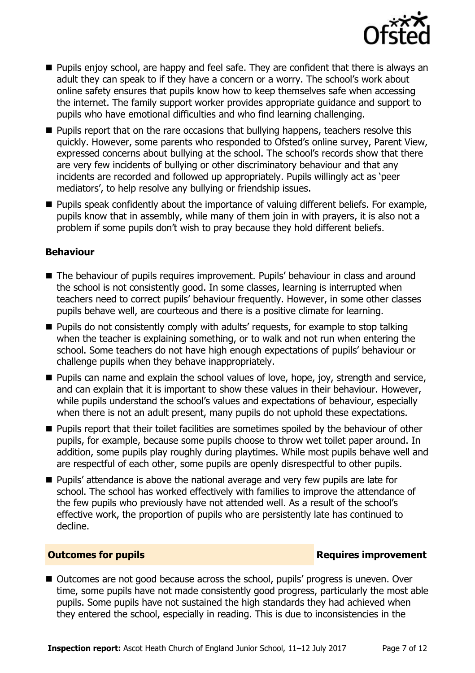

- **Pupils enjoy school, are happy and feel safe. They are confident that there is always an** adult they can speak to if they have a concern or a worry. The school's work about online safety ensures that pupils know how to keep themselves safe when accessing the internet. The family support worker provides appropriate guidance and support to pupils who have emotional difficulties and who find learning challenging.
- **Pupils report that on the rare occasions that bullying happens, teachers resolve this** quickly. However, some parents who responded to Ofsted's online survey, Parent View, expressed concerns about bullying at the school. The school's records show that there are very few incidents of bullying or other discriminatory behaviour and that any incidents are recorded and followed up appropriately. Pupils willingly act as 'peer mediators', to help resolve any bullying or friendship issues.
- **Pupils speak confidently about the importance of valuing different beliefs. For example,** pupils know that in assembly, while many of them join in with prayers, it is also not a problem if some pupils don't wish to pray because they hold different beliefs.

### **Behaviour**

- The behaviour of pupils requires improvement. Pupils' behaviour in class and around the school is not consistently good. In some classes, learning is interrupted when teachers need to correct pupils' behaviour frequently. However, in some other classes pupils behave well, are courteous and there is a positive climate for learning.
- **Pupils do not consistently comply with adults' requests, for example to stop talking** when the teacher is explaining something, or to walk and not run when entering the school. Some teachers do not have high enough expectations of pupils' behaviour or challenge pupils when they behave inappropriately.
- **Pupils can name and explain the school values of love, hope, joy, strength and service,** and can explain that it is important to show these values in their behaviour. However, while pupils understand the school's values and expectations of behaviour, especially when there is not an adult present, many pupils do not uphold these expectations.
- **Pupils report that their toilet facilities are sometimes spoiled by the behaviour of other** pupils, for example, because some pupils choose to throw wet toilet paper around. In addition, some pupils play roughly during playtimes. While most pupils behave well and are respectful of each other, some pupils are openly disrespectful to other pupils.
- **Pupils'** attendance is above the national average and very few pupils are late for school. The school has worked effectively with families to improve the attendance of the few pupils who previously have not attended well. As a result of the school's effective work, the proportion of pupils who are persistently late has continued to decline.

### **Outcomes for pupils Requires improvement**

■ Outcomes are not good because across the school, pupils' progress is uneven. Over time, some pupils have not made consistently good progress, particularly the most able pupils. Some pupils have not sustained the high standards they had achieved when they entered the school, especially in reading. This is due to inconsistencies in the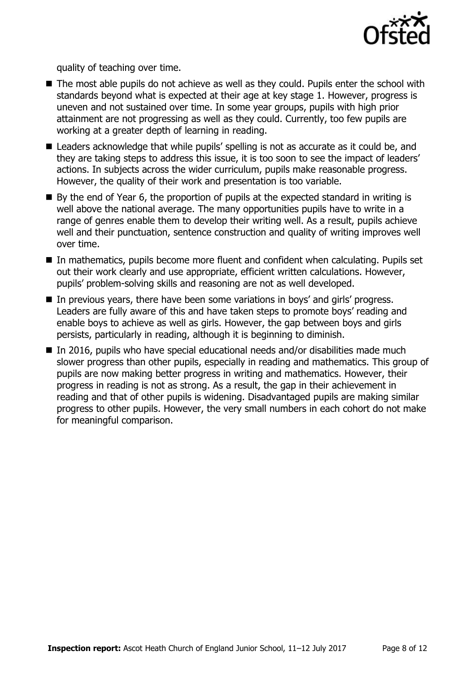

quality of teaching over time.

- The most able pupils do not achieve as well as they could. Pupils enter the school with standards beyond what is expected at their age at key stage 1. However, progress is uneven and not sustained over time. In some year groups, pupils with high prior attainment are not progressing as well as they could. Currently, too few pupils are working at a greater depth of learning in reading.
- Leaders acknowledge that while pupils' spelling is not as accurate as it could be, and they are taking steps to address this issue, it is too soon to see the impact of leaders' actions. In subjects across the wider curriculum, pupils make reasonable progress. However, the quality of their work and presentation is too variable.
- $\blacksquare$  By the end of Year 6, the proportion of pupils at the expected standard in writing is well above the national average. The many opportunities pupils have to write in a range of genres enable them to develop their writing well. As a result, pupils achieve well and their punctuation, sentence construction and quality of writing improves well over time.
- In mathematics, pupils become more fluent and confident when calculating. Pupils set out their work clearly and use appropriate, efficient written calculations. However, pupils' problem-solving skills and reasoning are not as well developed.
- In previous years, there have been some variations in boys' and girls' progress. Leaders are fully aware of this and have taken steps to promote boys' reading and enable boys to achieve as well as girls. However, the gap between boys and girls persists, particularly in reading, although it is beginning to diminish.
- In 2016, pupils who have special educational needs and/or disabilities made much slower progress than other pupils, especially in reading and mathematics. This group of pupils are now making better progress in writing and mathematics. However, their progress in reading is not as strong. As a result, the gap in their achievement in reading and that of other pupils is widening. Disadvantaged pupils are making similar progress to other pupils. However, the very small numbers in each cohort do not make for meaningful comparison.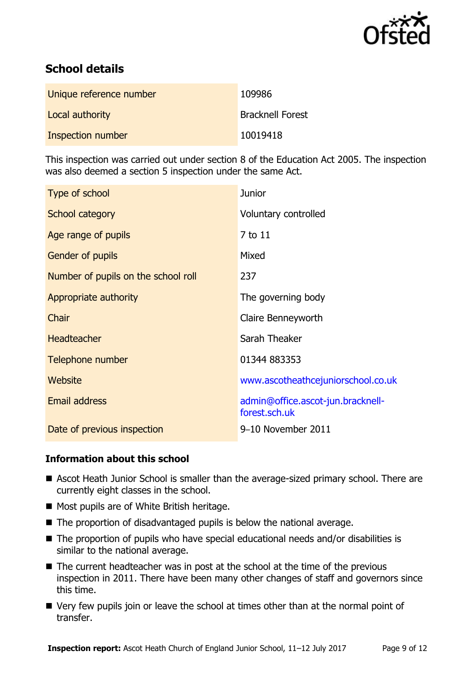

# **School details**

| Unique reference number | 109986                  |
|-------------------------|-------------------------|
| Local authority         | <b>Bracknell Forest</b> |
| Inspection number       | 10019418                |

This inspection was carried out under section 8 of the Education Act 2005. The inspection was also deemed a section 5 inspection under the same Act.

| Type of school                      | <b>Junior</b>                                      |
|-------------------------------------|----------------------------------------------------|
| School category                     | Voluntary controlled                               |
| Age range of pupils                 | 7 to 11                                            |
| <b>Gender of pupils</b>             | Mixed                                              |
| Number of pupils on the school roll | 237                                                |
| Appropriate authority               | The governing body                                 |
| Chair                               | Claire Benneyworth                                 |
| <b>Headteacher</b>                  | Sarah Theaker                                      |
| Telephone number                    | 01344 883353                                       |
| Website                             | www.ascotheathcejuniorschool.co.uk                 |
| Email address                       | admin@office.ascot-jun.bracknell-<br>forest.sch.uk |
| Date of previous inspection         | 9-10 November 2011                                 |

### **Information about this school**

- Ascot Heath Junior School is smaller than the average-sized primary school. There are currently eight classes in the school.
- Most pupils are of White British heritage.
- $\blacksquare$  The proportion of disadvantaged pupils is below the national average.
- The proportion of pupils who have special educational needs and/or disabilities is similar to the national average.
- The current headteacher was in post at the school at the time of the previous inspection in 2011. There have been many other changes of staff and governors since this time.
- Very few pupils join or leave the school at times other than at the normal point of transfer.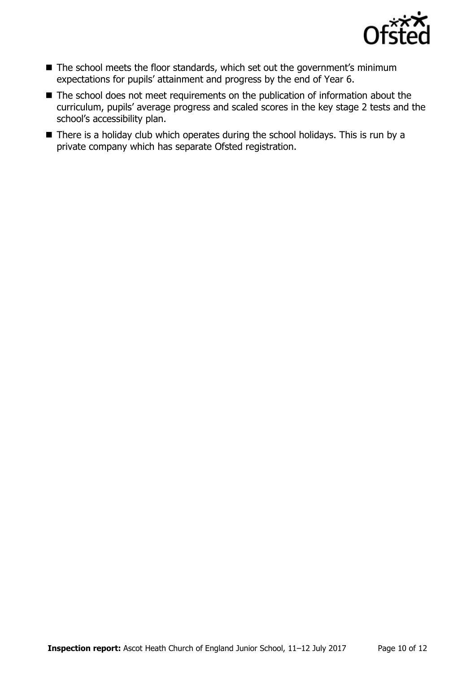

- The school meets the floor standards, which set out the government's minimum expectations for pupils' attainment and progress by the end of Year 6.
- The school does not meet requirements on the publication of information about the curriculum, pupils' average progress and scaled scores in the key stage 2 tests and the school's accessibility plan.
- There is a holiday club which operates during the school holidays. This is run by a private company which has separate Ofsted registration.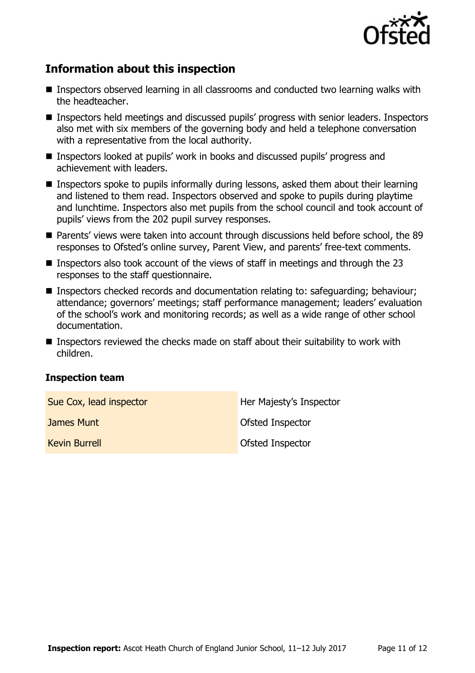

# **Information about this inspection**

- Inspectors observed learning in all classrooms and conducted two learning walks with the headteacher.
- **Inspectors held meetings and discussed pupils' progress with senior leaders. Inspectors** also met with six members of the governing body and held a telephone conversation with a representative from the local authority.
- Inspectors looked at pupils' work in books and discussed pupils' progress and achievement with leaders.
- **Inspectors spoke to pupils informally during lessons, asked them about their learning** and listened to them read. Inspectors observed and spoke to pupils during playtime and lunchtime. Inspectors also met pupils from the school council and took account of pupils' views from the 202 pupil survey responses.
- Parents' views were taken into account through discussions held before school, the 89 responses to Ofsted's online survey, Parent View, and parents' free-text comments.
- **Inspectors also took account of the views of staff in meetings and through the 23** responses to the staff questionnaire.
- Inspectors checked records and documentation relating to: safeguarding: behaviour: attendance; governors' meetings; staff performance management; leaders' evaluation of the school's work and monitoring records; as well as a wide range of other school documentation.
- Inspectors reviewed the checks made on staff about their suitability to work with children.

### **Inspection team**

| Sue Cox, lead inspector | Her Majesty's Inspector |
|-------------------------|-------------------------|
| James Munt              | Ofsted Inspector        |
| <b>Kevin Burrell</b>    | Ofsted Inspector        |